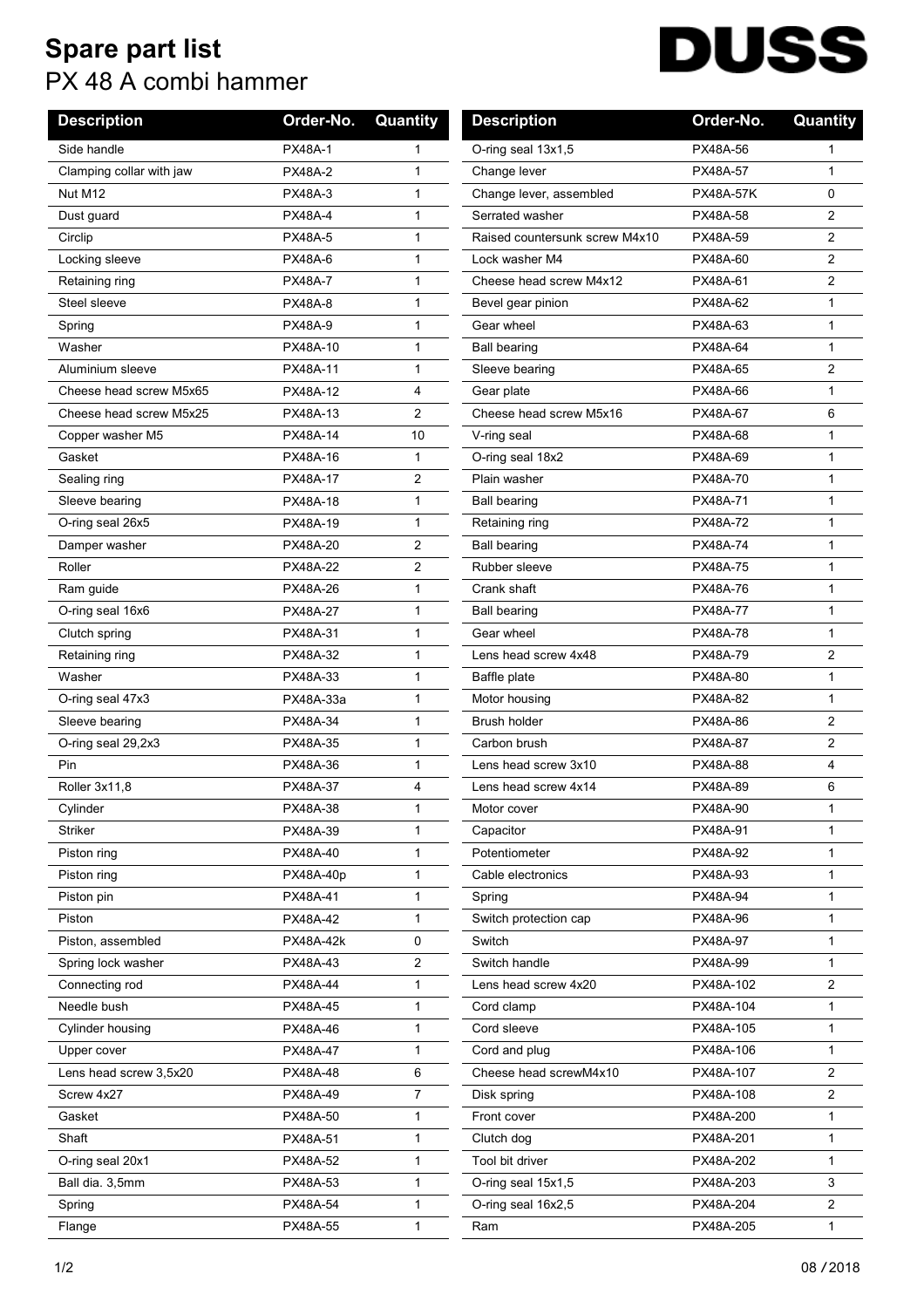## **Spare part list** PX 48 A combi hammer

## **DUSS**  $\overline{\phantom{a}}$

| <b>Description</b>       | Order-No.       | Quantity       | <b>Description</b>             | Order-No.        | Quantity     |
|--------------------------|-----------------|----------------|--------------------------------|------------------|--------------|
| Side handle              | <b>PX48A-1</b>  | 1              | O-ring seal 13x1,5             | PX48A-56         |              |
| Clamping collar with jaw | <b>PX48A-2</b>  | 1              | Change lever                   | PX48A-57         | 1            |
| Nut M12                  | <b>PX48A-3</b>  | 1              | Change lever, assembled        | <b>PX48A-57K</b> | 0            |
| Dust guard               | <b>PX48A-4</b>  | 1              | Serrated washer                | PX48A-58         | 2            |
| Circlip                  | <b>PX48A-5</b>  | 1              | Raised countersunk screw M4x10 | PX48A-59         | 2            |
| Locking sleeve           | <b>PX48A-6</b>  | 1              | Lock washer M4                 | PX48A-60         | 2            |
| Retaining ring           | <b>PX48A-7</b>  | 1              | Cheese head screw M4x12        | PX48A-61         | 2            |
| Steel sleeve             | <b>PX48A-8</b>  | 1              | Bevel gear pinion              | PX48A-62         | $\mathbf{1}$ |
| Spring                   | <b>PX48A-9</b>  | 1              | Gear wheel                     | PX48A-63         | $\mathbf{1}$ |
| Washer                   | PX48A-10        | 1              | <b>Ball bearing</b>            | PX48A-64         | $\mathbf{1}$ |
| Aluminium sleeve         | PX48A-11        | 1              | Sleeve bearing                 | PX48A-65         | 2            |
| Cheese head screw M5x65  | PX48A-12        | 4              | Gear plate                     | PX48A-66         | $\mathbf{1}$ |
| Cheese head screw M5x25  | PX48A-13        | 2              | Cheese head screw M5x16        | PX48A-67         | 6            |
| Copper washer M5         | PX48A-14        | 10             | V-ring seal                    | PX48A-68         | $\mathbf{1}$ |
| Gasket                   | PX48A-16        | 1              | O-ring seal 18x2               | PX48A-69         | $\mathbf{1}$ |
| Sealing ring             | PX48A-17        | 2              | Plain washer                   | PX48A-70         | 1            |
| Sleeve bearing           | PX48A-18        | 1              | <b>Ball bearing</b>            | PX48A-71         | $\mathbf{1}$ |
| O-ring seal 26x5         | PX48A-19        | 1              | Retaining ring                 | PX48A-72         | $\mathbf{1}$ |
| Damper washer            | PX48A-20        | 2              | <b>Ball bearing</b>            | <b>PX48A-74</b>  | $\mathbf{1}$ |
| Roller                   | PX48A-22        | 2              | Rubber sleeve                  | PX48A-75         | $\mathbf{1}$ |
| Ram guide                | PX48A-26        | 1              | Crank shaft                    | PX48A-76         | 1            |
| O-ring seal 16x6         | <b>PX48A-27</b> | $\mathbf{1}$   | <b>Ball bearing</b>            | PX48A-77         | $\mathbf{1}$ |
| Clutch spring            | PX48A-31        | 1              | Gear wheel                     | PX48A-78         | $\mathbf{1}$ |
| Retaining ring           | PX48A-32        | 1              | Lens head screw 4x48           | PX48A-79         | 2            |
| Washer                   | PX48A-33        | 1              | Baffle plate                   | PX48A-80         | $\mathbf{1}$ |
| O-ring seal 47x3         | PX48A-33a       | 1              | Motor housing                  | PX48A-82         | $\mathbf{1}$ |
| Sleeve bearing           | PX48A-34        | $\mathbf{1}$   | <b>Brush holder</b>            | PX48A-86         | 2            |
| O-ring seal 29,2x3       | PX48A-35        | 1              | Carbon brush                   | PX48A-87         | 2            |
| Pin                      | PX48A-36        | 1              | Lens head screw 3x10           | PX48A-88         | 4            |
| Roller 3x11,8            | PX48A-37        | 4              | Lens head screw 4x14           | PX48A-89         | 6            |
| Cylinder                 | PX48A-38        | 1              | Motor cover                    | PX48A-90         | 1            |
| Striker                  | PX48A-39        | 1              | Capacitor                      | PX48A-91         | 1            |
| Piston ring              | PX48A-40        | 1              | Potentiometer                  | PX48A-92         | 1            |
| Piston ring              | PX48A-40p       | 1              | Cable electronics              | PX48A-93         | $\mathbf{1}$ |
| Piston pin               | PX48A-41        | 1              | Spring                         | PX48A-94         | 1            |
| Piston                   | PX48A-42        | 1              | Switch protection cap          | PX48A-96         | $\mathbf{1}$ |
| Piston, assembled        | PX48A-42k       | 0              | Switch                         | PX48A-97         | $\mathbf{1}$ |
| Spring lock washer       | PX48A-43        | $\overline{2}$ | Switch handle                  | PX48A-99         | 1            |
| Connecting rod           | PX48A-44        | 1              | Lens head screw 4x20           | PX48A-102        | 2            |
| Needle bush              | PX48A-45        | 1              | Cord clamp                     | PX48A-104        | 1            |
| Cylinder housing         | PX48A-46        | 1              | Cord sleeve                    | PX48A-105        | $\mathbf{1}$ |
| Upper cover              | PX48A-47        | 1              | Cord and plug                  | PX48A-106        | $\mathbf 1$  |
| Lens head screw 3,5x20   | PX48A-48        | 6              | Cheese head screwM4x10         | PX48A-107        | 2            |
| Screw 4x27               | PX48A-49        | 7              | Disk spring                    | PX48A-108        | 2            |
| Gasket                   | PX48A-50        | 1              | Front cover                    | PX48A-200        | $\mathbf{1}$ |
| Shaft                    | PX48A-51        | 1              | Clutch dog                     | PX48A-201        | 1            |
| O-ring seal 20x1         | PX48A-52        | 1              | Tool bit driver                | PX48A-202        | $\mathbf{1}$ |
| Ball dia. 3,5mm          | PX48A-53        | 1              | O-ring seal 15x1,5             | PX48A-203        | 3            |
| Spring                   | PX48A-54        | $\mathbf{1}$   | O-ring seal 16x2,5             | PX48A-204        | 2            |
| Flange                   | PX48A-55        | 1              | Ram                            | PX48A-205        | $\mathbf{1}$ |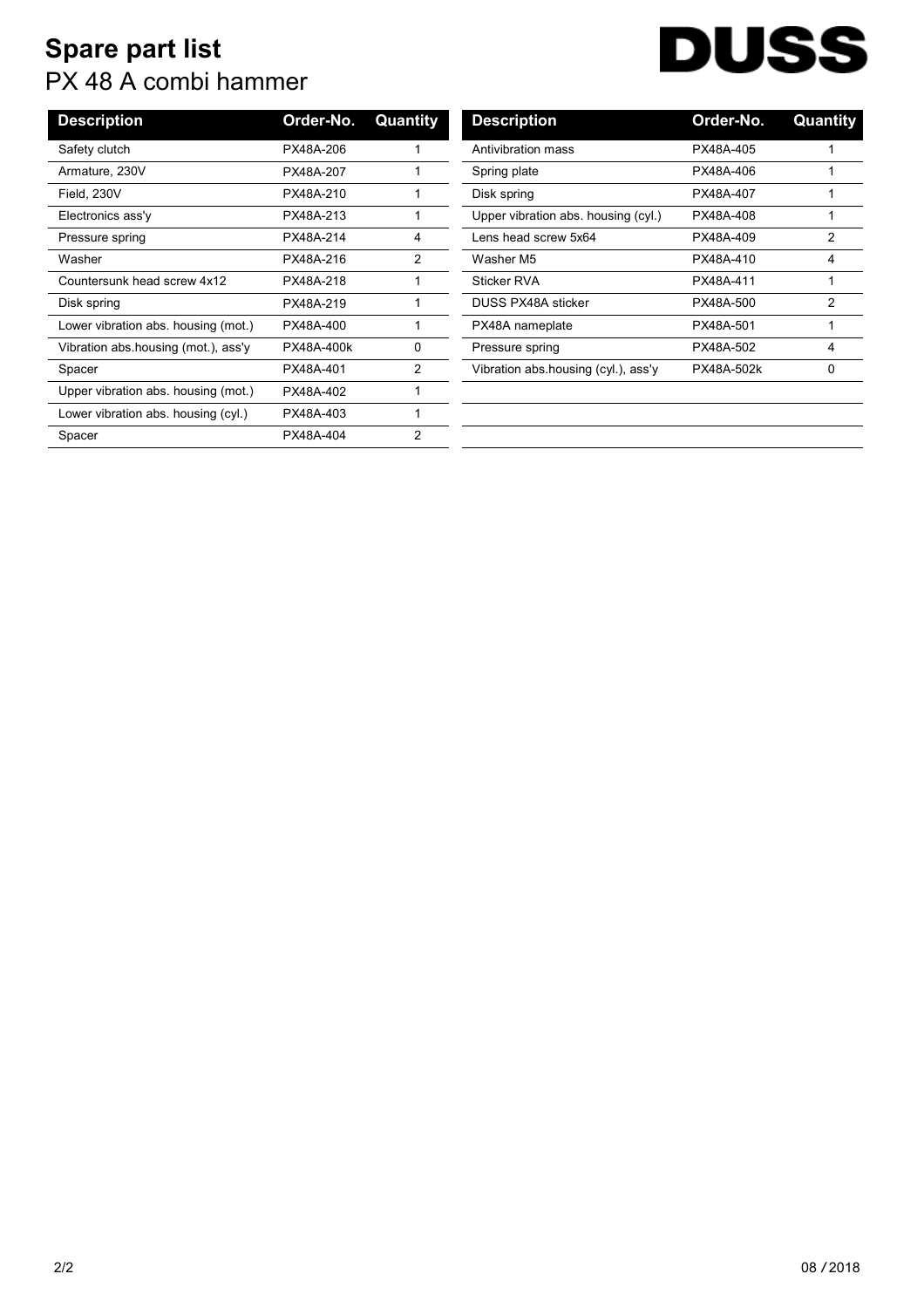## **Spare part list** PX 48 A combi hammer

## **DUSS**  $\overline{\phantom{a}}$

| <b>Description</b>                  | Order-No.  | Quantity | <b>Description</b>                  | Order-No.  | Quant          |
|-------------------------------------|------------|----------|-------------------------------------|------------|----------------|
| Safety clutch                       | PX48A-206  |          | Antivibration mass                  | PX48A-405  |                |
| Armature, 230V                      | PX48A-207  |          | Spring plate                        | PX48A-406  |                |
| Field, 230V                         | PX48A-210  |          | Disk spring                         | PX48A-407  |                |
| Electronics ass'y                   | PX48A-213  |          | Upper vibration abs. housing (cyl.) | PX48A-408  |                |
| Pressure spring                     | PX48A-214  | 4        | Lens head screw 5x64                | PX48A-409  | $\overline{2}$ |
| Washer                              | PX48A-216  | 2        | Washer M5                           | PX48A-410  | 4              |
| Countersunk head screw 4x12         | PX48A-218  |          | Sticker RVA                         | PX48A-411  |                |
| Disk spring                         | PX48A-219  |          | <b>DUSS PX48A sticker</b>           | PX48A-500  | 2              |
| Lower vibration abs. housing (mot.) | PX48A-400  |          | PX48A nameplate                     | PX48A-501  |                |
| Vibration abs housing (mot.), ass'y | PX48A-400k | 0        | Pressure spring                     | PX48A-502  | 4              |
| Spacer                              | PX48A-401  | 2        | Vibration abs housing (cyl.), ass'y | PX48A-502k | 0              |
| Upper vibration abs. housing (mot.) | PX48A-402  |          |                                     |            |                |
| Lower vibration abs. housing (cyl.) | PX48A-403  |          |                                     |            |                |
| Spacer                              | PX48A-404  | 2        |                                     |            |                |
|                                     |            |          |                                     |            |                |

| <b>Description</b>                  | Order-No.  | Quantity |
|-------------------------------------|------------|----------|
| Antivibration mass                  | PX48A-405  |          |
| Spring plate                        | PX48A-406  | 1        |
| Disk spring                         | PX48A-407  | 1        |
| Upper vibration abs. housing (cyl.) | PX48A-408  | 1        |
| Lens head screw 5x64                | PX48A-409  | 2        |
| Washer M5                           | PX48A-410  | 4        |
| Sticker RVA                         | PX48A-411  | 1        |
| DUSS PX48A sticker                  | PX48A-500  | 2        |
| PX48A nameplate                     | PX48A-501  | 1        |
| Pressure spring                     | PX48A-502  | 4        |
| Vibration abs housing (cyl.), ass'y | PX48A-502k | 0        |
|                                     |            |          |
|                                     |            |          |